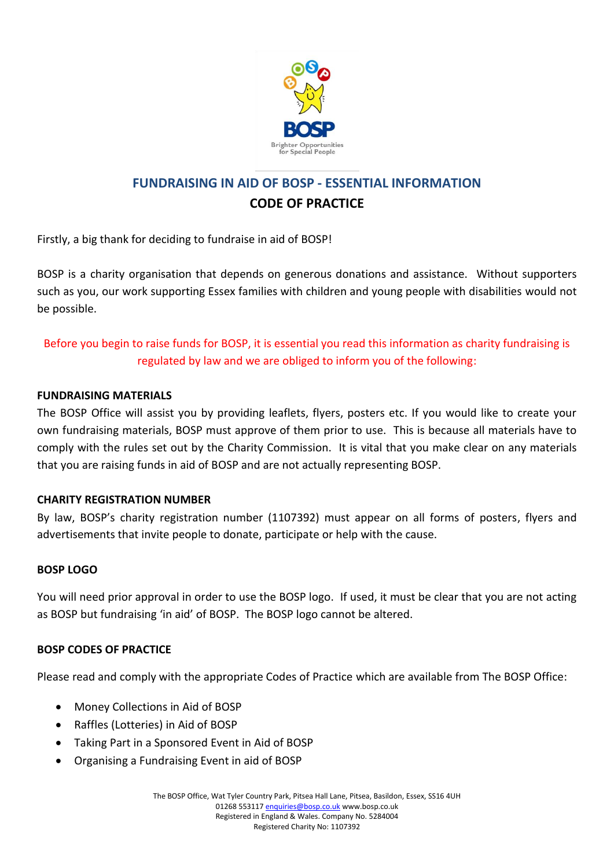

# **FUNDRAISING IN AID OF BOSP - ESSENTIAL INFORMATION CODE OF PRACTICE**

Firstly, a big thank for deciding to fundraise in aid of BOSP!

BOSP is a charity organisation that depends on generous donations and assistance. Without supporters such as you, our work supporting Essex families with children and young people with disabilities would not be possible.

## Before you begin to raise funds for BOSP, it is essential you read this information as charity fundraising is regulated by law and we are obliged to inform you of the following:

#### **FUNDRAISING MATERIALS**

The BOSP Office will assist you by providing leaflets, flyers, posters etc. If you would like to create your own fundraising materials, BOSP must approve of them prior to use. This is because all materials have to comply with the rules set out by the Charity Commission. It is vital that you make clear on any materials that you are raising funds in aid of BOSP and are not actually representing BOSP.

### **CHARITY REGISTRATION NUMBER**

By law, BOSP's charity registration number (1107392) must appear on all forms of posters, flyers and advertisements that invite people to donate, participate or help with the cause.

#### **BOSP LOGO**

You will need prior approval in order to use the BOSP logo. If used, it must be clear that you are not acting as BOSP but fundraising 'in aid' of BOSP. The BOSP logo cannot be altered.

#### **BOSP CODES OF PRACTICE**

Please read and comply with the appropriate Codes of Practice which are available from The BOSP Office:

- Money Collections in Aid of BOSP
- Raffles (Lotteries) in Aid of BOSP
- Taking Part in a Sponsored Event in Aid of BOSP
- Organising a Fundraising Event in aid of BOSP